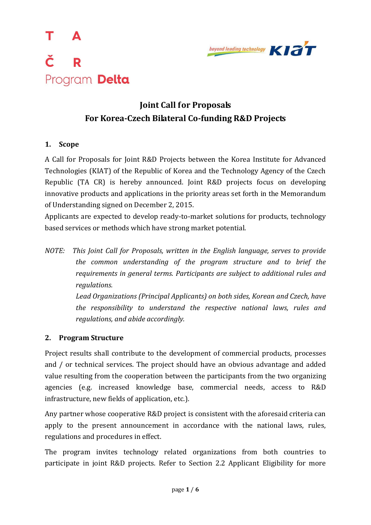



# **Joint Call for Proposals For Korea-Czech Bilateral Co-funding R&D Projects**

### **1. Scope**

A Call for Proposals for Joint R&D Projects between the Korea Institute for Advanced Technologies (KIAT) of the Republic of Korea and the Technology Agency of the Czech Republic (TA CR) is hereby announced. Joint R&D projects focus on developing innovative products and applications in the priority areas set forth in the Memorandum of Understanding signed on December 2, 2015.

Applicants are expected to develop ready-to-market solutions for products, technology based services or methods which have strong market potential.

*NOTE: This Joint Call for Proposals, written in the English language, serves to provide the common understanding of the program structure and to brief the requirements in general terms. Participants are subject to additional rules and regulations.* 

> *Lead Organizations (Principal Applicants) on both sides, Korean and Czech, have the responsibility to understand the respective national laws, rules and regulations, and abide accordingly.*

### **2. Program Structure**

Project results shall contribute to the development of commercial products, processes and / or technical services. The project should have an obvious advantage and added value resulting from the cooperation between the participants from the two organizing agencies (e.g. increased knowledge base, commercial needs, access to R&D infrastructure, new fields of application, etc.).

Any partner whose cooperative R&D project is consistent with the aforesaid criteria can apply to the present announcement in accordance with the national laws, rules, regulations and procedures in effect.

The program invites technology related organizations from both countries to participate in joint R&D projects. Refer to Section 2.2 Applicant Eligibility for more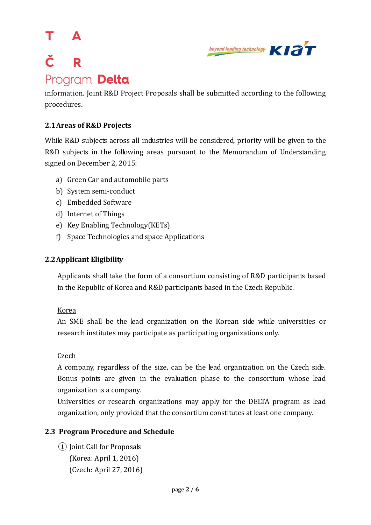### т Δ č  $\overline{\mathbf{R}}$ Program Delta



information. Joint R&D Project Proposals shall be submitted according to the following procedures.

### **2.1Areas of R&D Projects**

While R&D subjects across all industries will be considered, priority will be given to the R&D subjects in the following areas pursuant to the Memorandum of Understanding signed on December 2, 2015:

- a) Green Car and automobile parts
- b) System semi-conduct
- c) Embedded Software
- d) Internet of Things
- e) Key Enabling Technology(KETs)
- f) Space Technologies and space Applications

### **2.2Applicant Eligibility**

Applicants shall take the form of a consortium consisting of R&D participants based in the Republic of Korea and R&D participants based in the Czech Republic.

### Korea

An SME shall be the lead organization on the Korean side while universities or research institutes may participate as participating organizations only.

### Czech

A company, regardless of the size, can be the lead organization on the Czech side. Bonus points are given in the evaluation phase to the consortium whose lead organization is a company.

Universities or research organizations may apply for the DELTA program as lead organization, only provided that the consortium constitutes at least one company.

### **2.3 Program Procedure and Schedule**

① Joint Call for Proposals (Korea: April 1, 2016) (Czech: April 27, 2016)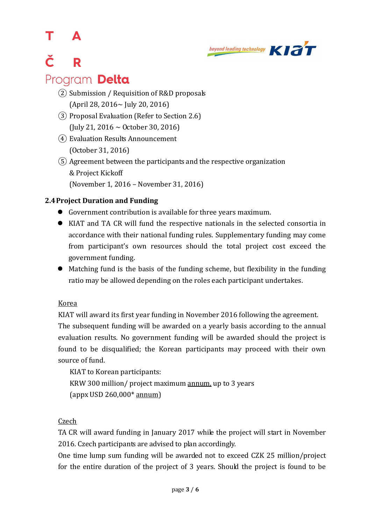#### т Δ



## Č R Program Delta

- ② Submission / Requisition of R&D proposals (April 28, 2016~ July 20, 2016)
- ③ Proposal Evaluation (Refer to Section 2.6) (July 21, 2016 ~ October 30, 2016)
- ④ Evaluation Results Announcement (October 31, 2016)

⑤ Agreement between the participants and the respective organization & Project Kickoff (November 1, 2016 – November 31, 2016)

### **2.4Project Duration and Funding**

- Government contribution is available for three years maximum.
- KIAT and TA CR will fund the respective nationals in the selected consortia in accordance with their national funding rules. Supplementary funding may come from participant's own resources should the total project cost exceed the government funding.
- Matching fund is the basis of the funding scheme, but flexibility in the funding ratio may be allowed depending on the roles each participant undertakes.

### Korea

KIAT will award its first year funding in November 2016 following the agreement. The subsequent funding will be awarded on a yearly basis according to the annual evaluation results. No government funding will be awarded should the project is found to be disqualified; the Korean participants may proceed with their own source of fund.

KIAT to Korean participants: KRW 300 million/ project maximum annum, up to 3 years (appx USD 260,000\* annum)

### Czech

TA CR will award funding in January 2017 while the project will start in November 2016. Czech participants are advised to plan accordingly.

One time lump sum funding will be awarded not to exceed CZK 25 million/project for the entire duration of the project of 3 years. Should the project is found to be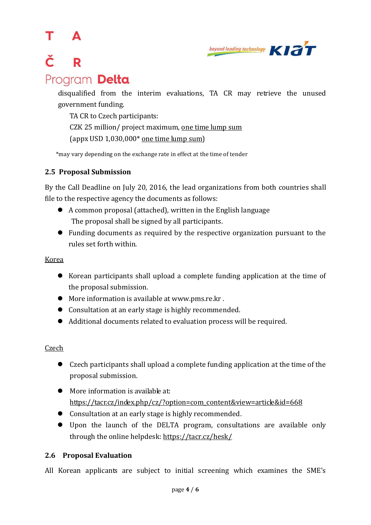#### т Δ

# č  $\overline{\mathbf{R}}$ Program Delta



disqualified from the interim evaluations, TA CR may retrieve the unused government funding.

TA CR to Czech participants:

CZK 25 million/ project maximum, one time lump sum (appx USD 1,030,000\* one time lump sum)

\*may vary depending on the exchange rate in effect at the time of tender

### **2.5 Proposal Submission**

By the Call Deadline on July 20, 2016, the lead organizations from both countries shall file to the respective agency the documents as follows:

- A common proposal (attached), written in the English language The proposal shall be signed by all participants.
- Funding documents as required by the respective organization pursuant to the rules set forth within.

### Korea

- Korean participants shall upload a complete funding application at the time of the proposal submission.
- More information is available at [www.pms.re.kr](http://www.pms.re.kr/) .
- Consultation at an early stage is highly recommended.
- Additional documents related to evaluation process will be required.

### **Czech**

- Czech participants shall upload a complete funding application at the time of the proposal submission.
- More information is available at: [https://tacr.cz/index.php/cz/?option=com\\_content&view=article&id=668](https://tacr.cz/index.php/cz/?option=com_content&view=article&id=668)
- Consultation at an early stage is highly recommended.
- Upon the launch of the DELTA program, consultations are available only through the online helpdesk:<https://tacr.cz/hesk/>

### **2.6 Proposal Evaluation**

All Korean applicants are subject to initial screening which examines the SME's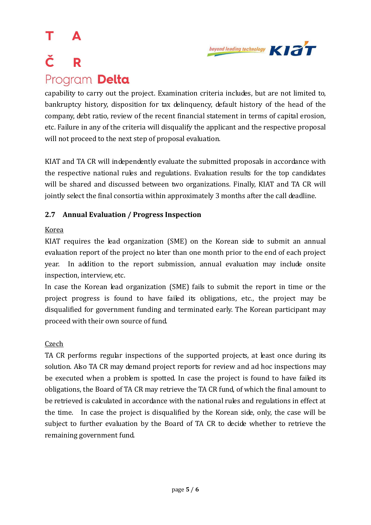### т Δ Č R Program Delta



capability to carry out the project. Examination criteria includes, but are not limited to, bankruptcy history, disposition for tax delinquency, default history of the head of the company, debt ratio, review of the recent financial statement in terms of capital erosion, etc. Failure in any of the criteria will disqualify the applicant and the respective proposal will not proceed to the next step of proposal evaluation.

KIAT and TA CR will independently evaluate the submitted proposals in accordance with the respective national rules and regulations. Evaluation results for the top candidates will be shared and discussed between two organizations. Finally, KIAT and TA CR will jointly select the final consortia within approximately 3 months after the call deadline.

### **2.7 Annual Evaluation / Progress Inspection**

### Korea

KIAT requires the lead organization (SME) on the Korean side to submit an annual evaluation report of the project no later than one month prior to the end of each project year. In addition to the report submission, annual evaluation may include onsite inspection, interview, etc.

In case the Korean lead organization (SME) fails to submit the report in time or the project progress is found to have failed its obligations, etc., the project may be disqualified for government funding and terminated early. The Korean participant may proceed with their own source of fund.

### **Czech**

TA CR performs regular inspections of the supported projects, at least once during its solution. Also TA CR may demand project reports for review and ad hoc inspections may be executed when a problem is spotted. In case the project is found to have failed its obligations, the Board of TA CR may retrieve the TA CR fund, of which the final amount to be retrieved is calculated in accordance with the national rules and regulations in effect at the time. In case the project is disqualified by the Korean side, only, the case will be subject to further evaluation by the Board of TA CR to decide whether to retrieve the remaining government fund.